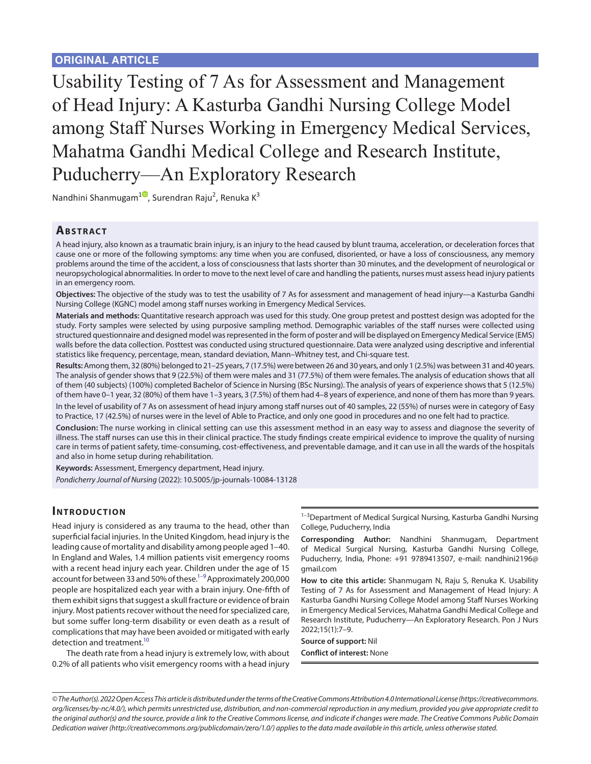Usability Testing of 7 As for Assessment and Management of Head Injury: A Kasturba Gandhi Nursing College Model among Staff Nurses Working in Emergency Medical Services, Mahatma Gandhi Medical College and Research Institute, Puducherry—An Exploratory Research

Nandhini Shanmugam<sup>[1](https://orcid.org/0000-0001-5691-9452)0</sup>, Surendran Raju<sup>2</sup>, Renuka K<sup>3</sup>

# **ABSTRACT**

A head injury, also known as a traumatic brain injury, is an injury to the head caused by blunt trauma, acceleration, or deceleration forces that cause one or more of the following symptoms: any time when you are confused, disoriented, or have a loss of consciousness, any memory problems around the time of the accident, a loss of consciousness that lasts shorter than 30 minutes, and the development of neurological or neuropsychological abnormalities. In order to move to the next level of care and handling the patients, nurses must assess head injury patients in an emergency room.

**Objectives:** The objective of the study was to test the usability of 7 As for assessment and management of head injury—a Kasturba Gandhi Nursing College (KGNC) model among staff nurses working in Emergency Medical Services.

**Materials and methods:** Quantitative research approach was used for this study. One group pretest and posttest design was adopted for the study. Forty samples were selected by using purposive sampling method. Demographic variables of the staff nurses were collected using structured questionnaire and designed model was represented in the form of poster and will be displayed on Emergency Medical Service (EMS) walls before the data collection. Posttest was conducted using structured questionnaire. Data were analyzed using descriptive and inferential statistics like frequency, percentage, mean, standard deviation, Mann–Whitney test, and Chi-square test.

**Results:** Among them, 32 (80%) belonged to 21–25 years, 7 (17.5%) were between 26 and 30 years, and only 1 (2.5%) was between 31 and 40 years. The analysis of gender shows that 9 (22.5%) of them were males and 31 (77.5%) of them were females. The analysis of education shows that all of them (40 subjects) (100%) completed Bachelor of Science in Nursing (BSc Nursing). The analysis of years of experience shows that 5 (12.5%) of them have 0–1 year, 32 (80%) of them have 1–3 years, 3 (7.5%) of them had 4–8 years of experience, and none of them has more than 9 years. In the level of usability of 7 As on assessment of head injury among staff nurses out of 40 samples, 22 (55%) of nurses were in category of Easy to Practice, 17 (42.5%) of nurses were in the level of Able to Practice, and only one good in procedures and no one felt had to practice.

**Conclusion:** The nurse working in clinical setting can use this assessment method in an easy way to assess and diagnose the severity of illness. The staff nurses can use this in their clinical practice. The study findings create empirical evidence to improve the quality of nursing care in terms of patient safety, time-consuming, cost-effectiveness, and preventable damage, and it can use in all the wards of the hospitals and also in home setup during rehabilitation.

**Keywords:** Assessment, Emergency department, Head injury. *Pondicherry Journal of Nursing* (2022): 10.5005/jp-journals-10084-13128

## **INTRODUCTION**

Head injury is considered as any trauma to the head, other than superficial facial injuries. In the United Kingdom, head injury is the leading cause of mortality and disability among people aged 1–40. In England and Wales, 1.4 million patients visit emergency rooms with a recent head injury each year. Children under the age of 15 account for between 33 and 50% of these.<sup>1-9</sup> Approximately 200,000 people are hospitalized each year with a brain injury. One-fifth of them exhibit signs that suggest a skull fracture or evidence of brain injury. Most patients recover without the need for specialized care, but some suffer long-term disability or even death as a result of complications that may have been avoided or mitigated with early detection and treatment.<sup>10</sup>

The death rate from a head injury is extremely low, with about 0.2% of all patients who visit emergency rooms with a head injury

 $1-3$ Department of Medical Surgical Nursing, Kasturba Gandhi Nursing College, Puducherry, India

**Corresponding Author:** Nandhini Shanmugam, Department of Medical Surgical Nursing, Kasturba Gandhi Nursing College, Puducherry, India, Phone: +91 9789413507, e-mail: nandhini2196@ gmail.com

**How to cite this article:** Shanmugam N, Raju S, Renuka K. Usability Testing of 7 As for Assessment and Management of Head Injury: A Kasturba Gandhi Nursing College Model among Staff Nurses Working in Emergency Medical Services, Mahatma Gandhi Medical College and Research Institute, Puducherry—An Exploratory Research. Pon J Nurs 2022;15(1):7–9.

**Source of support:** Nil **Conflict of interest:** None

*<sup>©</sup> The Author(s). 2022 Open Access This article is distributed under the terms of the Creative Commons Attribution 4.0 International License ([https://creativecommons.](https://creativecommons. org/licenses/by-nc/4.0/)  [org/licenses/by-nc/4.0/](https://creativecommons. org/licenses/by-nc/4.0/)), which permits unrestricted use, distribution, and non-commercial reproduction in any medium, provided you give appropriate credit to the original author(s) and the source, provide a link to the Creative Commons license, and indicate if changes were made. The Creative Commons Public Domain Dedication waiver ([http://creativecommons.org/publicdomain/zero/1.0/\)](http://creativecommons.org/publicdomain/zero/1.0/) applies to the data made available in this article, unless otherwise stated.*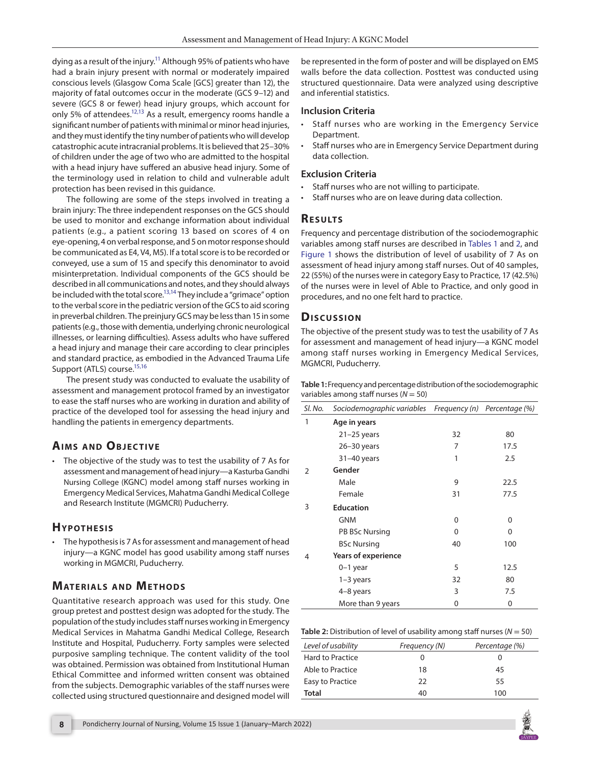dying as a result of the injury.<sup>11</sup> Although 95% of patients who have had a brain injury present with normal or moderately impaired conscious levels (Glasgow Coma Scale [GCS] greater than 12), the majority of fatal outcomes occur in the moderate (GCS 9–12) and severe (GCS 8 or fewer) head injury groups, which account for only 5% of attendees.<sup>12[,13](#page-2-5)</sup> As a result, emergency rooms handle a significant number of patients with minimal or minor head injuries, and they must identify the tiny number of patients who will develop catastrophic acute intracranial problems. It is believed that 25–30% of children under the age of two who are admitted to the hospital with a head injury have suffered an abusive head injury. Some of the terminology used in relation to child and vulnerable adult protection has been revised in this guidance.

The following are some of the steps involved in treating a brain injury: The three independent responses on the GCS should be used to monitor and exchange information about individual patients (e.g., a patient scoring 13 based on scores of 4 on eye-opening, 4 on verbal response, and 5 on motor response should be communicated as E4, V4, M5). If a total score is to be recorded or conveyed, use a sum of 15 and specify this denominator to avoid misinterpretation. Individual components of the GCS should be described in all communications and notes, and they should always be included with the total score.<sup>13,[14](#page-2-6)</sup> They include a "grimace" option to the verbal score in the pediatric version of the GCS to aid scoring in preverbal children. The preinjury GCS may be less than 15 in some patients (e.g., those with dementia, underlying chronic neurological illnesses, or learning difficulties). Assess adults who have suffered a head injury and manage their care according to clear principles and standard practice, as embodied in the Advanced Trauma Life Support (ATLS) course.<sup>15[,16](#page-2-8)</sup>

The present study was conducted to evaluate the usability of assessment and management protocol framed by an investigator to ease the staff nurses who are working in duration and ability of practice of the developed tool for assessing the head injury and handling the patients in emergency departments.

# **AIMS AND OBJECTIVE**

• The objective of the study was to test the usability of 7 As for assessment and management of head injury—a Kasturba Gandhi Nursing College (KGNC) model among staff nurses working in Emergency Medical Services, Mahatma Gandhi Medical College and Research Institute (MGMCRI) Puducherry.

## **Hyp othe sis**

• The hypothesis is 7 As for assessment and management of head injury—a KGNC model has good usability among staff nurses working in MGMCRI, Puducherry.

# **MATERIALS AND METHODS**

Quantitative research approach was used for this study. One group pretest and posttest design was adopted for the study. The population of the study includes staff nurses working in Emergency Medical Services in Mahatma Gandhi Medical College, Research Institute and Hospital, Puducherry. Forty samples were selected purposive sampling technique. The content validity of the tool was obtained. Permission was obtained from Institutional Human Ethical Committee and informed written consent was obtained from the subjects. Demographic variables of the staff nurses were collected using structured questionnaire and designed model will

be represented in the form of poster and will be displayed on EMS walls before the data collection. Posttest was conducted using structured questionnaire. Data were analyzed using descriptive and inferential statistics.

#### **Inclusion Criteria**

- Staff nurses who are working in the Emergency Service Department.
- Staff nurses who are in Emergency Service Department during data collection.

#### **Exclusion Criteria**

- Staff nurses who are not willing to participate.
- Staff nurses who are on leave during data collection.

### **Re s u lts**

Frequency and percentage distribution of the sociodemographic variables among staff nurses are described in [Tables 1](#page-1-0) and [2](#page-1-1), and [Figure 1](#page-2-9) shows the distribution of level of usability of 7 As on assessment of head injury among staff nurses. Out of 40 samples, 22 (55%) of the nurses were in category Easy to Practice, 17 (42.5%) of the nurses were in level of Able to Practice, and only good in procedures, and no one felt hard to practice.

## **Dis c u s sio n**

The objective of the present study was to test the usability of 7 As for assessment and management of head injury—a KGNC model among staff nurses working in Emergency Medical Services, MGMCRI, Puducherry.

<span id="page-1-0"></span>

| Table 1: Frequency and percentage distribution of the sociodemographic |
|------------------------------------------------------------------------|
| variables among staff nurses ( $N = 50$ )                              |

| SI. No. | Sociodemographic variables Frequency (n) |          | Percentage (%) |
|---------|------------------------------------------|----------|----------------|
| 1       | Age in years                             |          |                |
|         | $21-25$ years                            | 32       | 80             |
|         | $26 - 30$ years                          | 7        | 17.5           |
|         | $31-40$ years                            | 1        | 2.5            |
| 2       | Gender                                   |          |                |
|         | Male                                     | 9        | 22.5           |
|         | Female                                   | 31       | 77.5           |
| 3       | <b>Education</b>                         |          |                |
|         | <b>GNM</b>                               | 0        | 0              |
|         | PB BSc Nursing                           | $\Omega$ | 0              |
|         | <b>BSc Nursing</b>                       | 40       | 100            |
| 4       | <b>Years of experience</b>               |          |                |
|         | $0-1$ year                               | 5        | 12.5           |
|         | 1-3 years                                | 32       | 80             |
|         | 4-8 years                                | 3        | 7.5            |
|         | More than 9 years                        | 0        | 0              |

<span id="page-1-1"></span>**Table 2:** Distribution of level of usability among staff nurses (*N* = 50)

| Level of usability | Frequency (N) | Percentage (%) |
|--------------------|---------------|----------------|
| Hard to Practice   | O             |                |
| Able to Practice   | 18            | 45             |
| Easy to Practice   | 22            | 55             |
| Total              | 40            | 100            |